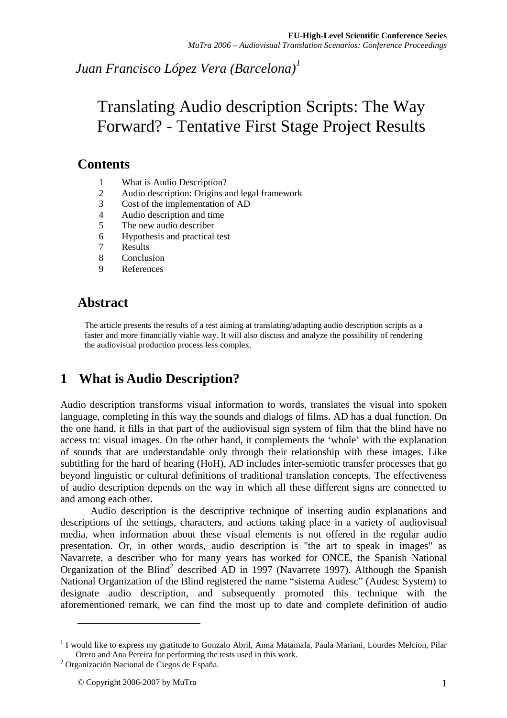*Juan Francisco López Vera (Barcelona)<sup>1</sup>*

# Translating Audio description Scripts: The Way Forward? - Tentative First Stage Project Results

# **Contents**

- 1 What is Audio Description?<br>2 Audio description: Origins a
- 2 Audio description: Origins and legal framework
- 3 Cost of the implementation of AD
- 4 Audio description and time
- 5 The new audio describer
- 6 Hypothesis and practical test
- 7 Results
- 8 Conclusion
- 9 References

# **Abstract**

The article presents the results of a test aiming at translating/adapting audio description scripts as a faster and more financially viable way. It will also discuss and analyze the possibility of rendering the audiovisual production process less complex.

# **1 What is Audio Description?**

Audio description transforms visual information to words, translates the visual into spoken language, completing in this way the sounds and dialogs of films. AD has a dual function. On the one hand, it fills in that part of the audiovisual sign system of film that the blind have no access to: visual images. On the other hand, it complements the 'whole' with the explanation of sounds that are understandable only through their relationship with these images. Like subtitling for the hard of hearing (HoH), AD includes inter-semiotic transfer processes that go beyond linguistic or cultural definitions of traditional translation concepts. The effectiveness of audio description depends on the way in which all these different signs are connected to and among each other.

Audio description is the descriptive technique of inserting audio explanations and descriptions of the settings, characters, and actions taking place in a variety of audiovisual media, when information about these visual elements is not offered in the regular audio presentation. Or, in other words, audio description is "the art to speak in images" as Navarrete, a describer who for many years has worked for ONCE, the Spanish National Organization of the Blind<sup>2</sup> described AD in 1997 (Navarrete 1997). Although the Spanish National Organization of the Blind registered the name "sistema Audesc" (Audesc System) to designate audio description, and subsequently promoted this technique with the aforementioned remark, we can find the most up to date and complete definition of audio

 $\overline{a}$ 

<sup>&</sup>lt;sup>1</sup> I would like to express my gratitude to Gonzalo Abril, Anna Matamala, Paula Mariani, Lourdes Melcion, Pilar Orero and Ana Pereira for performing the tests used in this work.

<sup>2</sup> Organización Nacional de Ciegos de España.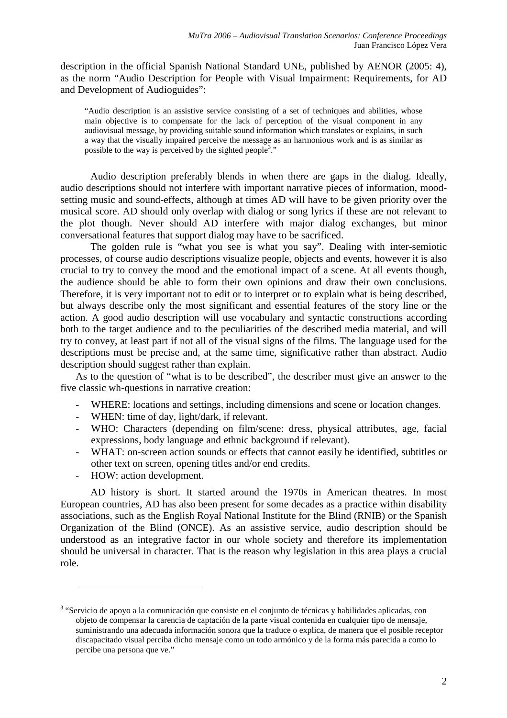description in the official Spanish National Standard UNE, published by AENOR (2005: 4), as the norm "Audio Description for People with Visual Impairment: Requirements, for AD and Development of Audioguides":

"Audio description is an assistive service consisting of a set of techniques and abilities, whose main objective is to compensate for the lack of perception of the visual component in any audiovisual message, by providing suitable sound information which translates or explains, in such a way that the visually impaired perceive the message as an harmonious work and is as similar as possible to the way is perceived by the sighted people<sup>3</sup>."

Audio description preferably blends in when there are gaps in the dialog. Ideally, audio descriptions should not interfere with important narrative pieces of information, moodsetting music and sound-effects, although at times AD will have to be given priority over the musical score. AD should only overlap with dialog or song lyrics if these are not relevant to the plot though. Never should AD interfere with major dialog exchanges, but minor conversational features that support dialog may have to be sacrificed.

The golden rule is "what you see is what you say". Dealing with inter-semiotic processes, of course audio descriptions visualize people, objects and events, however it is also crucial to try to convey the mood and the emotional impact of a scene. At all events though, the audience should be able to form their own opinions and draw their own conclusions. Therefore, it is very important not to edit or to interpret or to explain what is being described, but always describe only the most significant and essential features of the story line or the action. A good audio description will use vocabulary and syntactic constructions according both to the target audience and to the peculiarities of the described media material, and will try to convey, at least part if not all of the visual signs of the films. The language used for the descriptions must be precise and, at the same time, significative rather than abstract. Audio description should suggest rather than explain.

As to the question of "what is to be described", the describer must give an answer to the five classic wh-questions in narrative creation:

- WHERE: locations and settings, including dimensions and scene or location changes.
- WHEN: time of day, light/dark, if relevant.
- WHO: Characters (depending on film/scene: dress, physical attributes, age, facial expressions, body language and ethnic background if relevant).
- WHAT: on-screen action sounds or effects that cannot easily be identified, subtitles or other text on screen, opening titles and/or end credits.
- HOW: action development.

 $\overline{a}$ 

AD history is short. It started around the 1970s in American theatres. In most European countries, AD has also been present for some decades as a practice within disability associations, such as the English Royal National Institute for the Blind (RNIB) or the Spanish Organization of the Blind (ONCE). As an assistive service, audio description should be understood as an integrative factor in our whole society and therefore its implementation should be universal in character. That is the reason why legislation in this area plays a crucial role.

<sup>&</sup>lt;sup>3</sup> "Servicio de apoyo a la comunicación que consiste en el conjunto de técnicas y habilidades aplicadas, con objeto de compensar la carencia de captación de la parte visual contenida en cualquier tipo de mensaje, suministrando una adecuada información sonora que la traduce o explica, de manera que el posible receptor discapacitado visual perciba dicho mensaje como un todo armónico y de la forma más parecida a como lo percibe una persona que ve."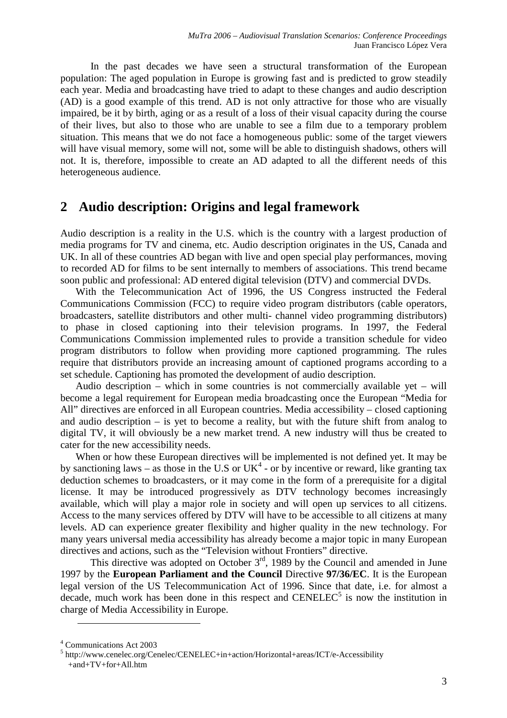In the past decades we have seen a structural transformation of the European population: The aged population in Europe is growing fast and is predicted to grow steadily each year. Media and broadcasting have tried to adapt to these changes and audio description (AD) is a good example of this trend. AD is not only attractive for those who are visually impaired, be it by birth, aging or as a result of a loss of their visual capacity during the course of their lives, but also to those who are unable to see a film due to a temporary problem situation. This means that we do not face a homogeneous public: some of the target viewers will have visual memory, some will not, some will be able to distinguish shadows, others will not. It is, therefore, impossible to create an AD adapted to all the different needs of this heterogeneous audience.

#### **2 Audio description: Origins and legal framework**

Audio description is a reality in the U.S. which is the country with a largest production of media programs for TV and cinema, etc. Audio description originates in the US, Canada and UK. In all of these countries AD began with live and open special play performances, moving to recorded AD for films to be sent internally to members of associations. This trend became soon public and professional: AD entered digital television (DTV) and commercial DVDs.

With the Telecommunication Act of 1996, the US Congress instructed the Federal Communications Commission (FCC) to require video program distributors (cable operators, broadcasters, satellite distributors and other multi- channel video programming distributors) to phase in closed captioning into their television programs. In 1997, the Federal Communications Commission implemented rules to provide a transition schedule for video program distributors to follow when providing more captioned programming. The rules require that distributors provide an increasing amount of captioned programs according to a set schedule. Captioning has promoted the development of audio description.

Audio description – which in some countries is not commercially available yet – will become a legal requirement for European media broadcasting once the European "Media for All" directives are enforced in all European countries. Media accessibility – closed captioning and audio description – is yet to become a reality, but with the future shift from analog to digital TV, it will obviously be a new market trend. A new industry will thus be created to cater for the new accessibility needs.

When or how these European directives will be implemented is not defined yet. It may be by sanctioning laws – as those in the U.S or  $UK<sup>4</sup>$  - or by incentive or reward, like granting tax deduction schemes to broadcasters, or it may come in the form of a prerequisite for a digital license. It may be introduced progressively as DTV technology becomes increasingly available, which will play a major role in society and will open up services to all citizens. Access to the many services offered by DTV will have to be accessible to all citizens at many levels. AD can experience greater flexibility and higher quality in the new technology. For many years universal media accessibility has already become a major topic in many European directives and actions, such as the "Television without Frontiers" directive.

This directive was adopted on October  $3<sup>rd</sup>$ , 1989 by the Council and amended in June 1997 by the **European Parliament and the Council** Directive **97/36/EC**. It is the European legal version of the US Telecommunication Act of 1996. Since that date, i.e. for almost a decade, much work has been done in this respect and  $CENELEC<sup>5</sup>$  is now the institution in charge of Media Accessibility in Europe.

 $\overline{a}$ 

<sup>4</sup> Communications Act 2003

<sup>&</sup>lt;sup>5</sup> http://www.cenelec.org/Cenelec/CENELEC+in+action/Horizontal+areas/ICT/e-Accessibility +and+TV+for+All.htm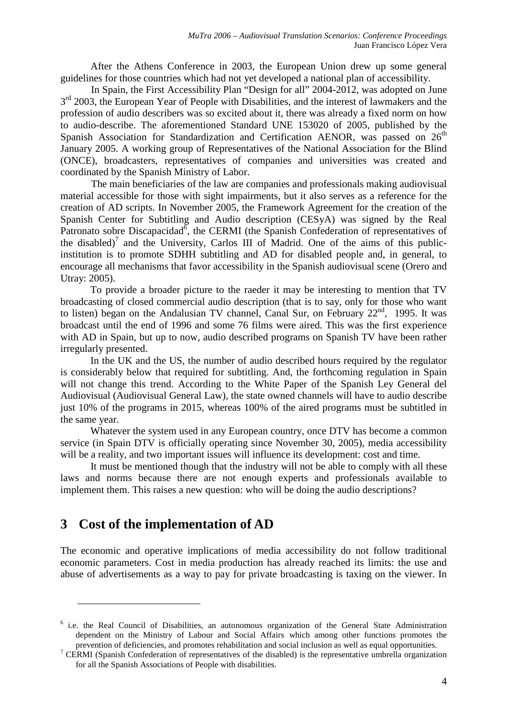After the Athens Conference in 2003, the European Union drew up some general guidelines for those countries which had not yet developed a national plan of accessibility.

In Spain, the First Accessibility Plan "Design for all" 2004-2012, was adopted on June 3<sup>rd</sup> 2003, the European Year of People with Disabilities, and the interest of lawmakers and the profession of audio describers was so excited about it, there was already a fixed norm on how to audio-describe. The aforementioned Standard UNE 153020 of 2005, published by the Spanish Association for Standardization and Certification AENOR, was passed on  $26<sup>th</sup>$ January 2005. A working group of Representatives of the National Association for the Blind (ONCE), broadcasters, representatives of companies and universities was created and coordinated by the Spanish Ministry of Labor.

The main beneficiaries of the law are companies and professionals making audiovisual material accessible for those with sight impairments, but it also serves as a reference for the creation of AD scripts. In November 2005, the Framework Agreement for the creation of the Spanish Center for Subtitling and Audio description (CESyA) was signed by the Real Patronato sobre Discapacidad<sup>6</sup>, the CERMI (the Spanish Confederation of representatives of the disabled)<sup>7</sup> and the University, Carlos III of Madrid. One of the aims of this publicinstitution is to promote SDHH subtitling and AD for disabled people and, in general, to encourage all mechanisms that favor accessibility in the Spanish audiovisual scene (Orero and Utray: 2005).

To provide a broader picture to the raeder it may be interesting to mention that TV broadcasting of closed commercial audio description (that is to say, only for those who want to listen) began on the Andalusian TV channel, Canal Sur, on February 22<sup>nd</sup>, 1995. It was broadcast until the end of 1996 and some 76 films were aired. This was the first experience with AD in Spain, but up to now, audio described programs on Spanish TV have been rather irregularly presented.

In the UK and the US, the number of audio described hours required by the regulator is considerably below that required for subtitling. And, the forthcoming regulation in Spain will not change this trend. According to the White Paper of the Spanish Ley General del Audiovisual (Audiovisual General Law), the state owned channels will have to audio describe just 10% of the programs in 2015, whereas 100% of the aired programs must be subtitled in the same year.

Whatever the system used in any European country, once DTV has become a common service (in Spain DTV is officially operating since November 30, 2005), media accessibility will be a reality, and two important issues will influence its development: cost and time.

It must be mentioned though that the industry will not be able to comply with all these laws and norms because there are not enough experts and professionals available to implement them. This raises a new question: who will be doing the audio descriptions?

# **3 Cost of the implementation of AD**

 $\overline{a}$ 

The economic and operative implications of media accessibility do not follow traditional economic parameters. Cost in media production has already reached its limits: the use and abuse of advertisements as a way to pay for private broadcasting is taxing on the viewer. In

<sup>&</sup>lt;sup>6</sup> i.e. the Real Council of Disabilities, an autonomous organization of the General State Administration dependent on the Ministry of Labour and Social Affairs which among other functions promotes the prevention of deficiencies, and promotes rehabilitation and social inclusion as well as equal opportunities.

<sup>&</sup>lt;sup>7</sup> CERMI (Spanish Confederation of representatives of the disabled) is the representative umbrella organization for all the Spanish Associations of People with disabilities.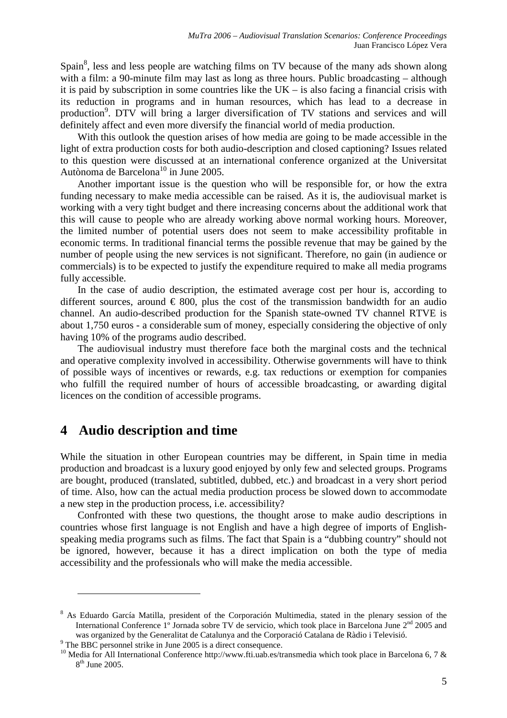Spain<sup>8</sup>, less and less people are watching films on TV because of the many ads shown along with a film: a 90-minute film may last as long as three hours. Public broadcasting – although it is paid by subscription in some countries like the  $UK -$  is also facing a financial crisis with its reduction in programs and in human resources, which has lead to a decrease in production<sup>9</sup>. DTV will bring a larger diversification of TV stations and services and will definitely affect and even more diversify the financial world of media production.

With this outlook the question arises of how media are going to be made accessible in the light of extra production costs for both audio-description and closed captioning? Issues related to this question were discussed at an international conference organized at the Universitat Autònoma de Barcelona<sup>10</sup> in June 2005.

Another important issue is the question who will be responsible for, or how the extra funding necessary to make media accessible can be raised. As it is, the audiovisual market is working with a very tight budget and there increasing concerns about the additional work that this will cause to people who are already working above normal working hours. Moreover, the limited number of potential users does not seem to make accessibility profitable in economic terms. In traditional financial terms the possible revenue that may be gained by the number of people using the new services is not significant. Therefore, no gain (in audience or commercials) is to be expected to justify the expenditure required to make all media programs fully accessible.

In the case of audio description, the estimated average cost per hour is, according to different sources, around  $\epsilon$  800, plus the cost of the transmission bandwidth for an audio channel. An audio-described production for the Spanish state-owned TV channel RTVE is about 1,750 euros - a considerable sum of money, especially considering the objective of only having 10% of the programs audio described.

The audiovisual industry must therefore face both the marginal costs and the technical and operative complexity involved in accessibility. Otherwise governments will have to think of possible ways of incentives or rewards, e.g. tax reductions or exemption for companies who fulfill the required number of hours of accessible broadcasting, or awarding digital licences on the condition of accessible programs.

#### **4 Audio description and time**

 $\overline{a}$ 

While the situation in other European countries may be different, in Spain time in media production and broadcast is a luxury good enjoyed by only few and selected groups. Programs are bought, produced (translated, subtitled, dubbed, etc.) and broadcast in a very short period of time. Also, how can the actual media production process be slowed down to accommodate a new step in the production process, i.e. accessibility?

Confronted with these two questions, the thought arose to make audio descriptions in countries whose first language is not English and have a high degree of imports of Englishspeaking media programs such as films. The fact that Spain is a "dubbing country" should not be ignored, however, because it has a direct implication on both the type of media accessibility and the professionals who will make the media accessible.

<sup>&</sup>lt;sup>8</sup> As Eduardo García Matilla, president of the Corporación Multimedia, stated in the plenary session of the International Conference 1<sup>o</sup> Jornada sobre TV de servicio, which took place in Barcelona June 2<sup>nd</sup> 2005 and was organized by the Generalitat de Catalunya and the Corporació Catalana de Ràdio i Televisió.

<sup>&</sup>lt;sup>9</sup> The BBC personnel strike in June 2005 is a direct consequence.

<sup>&</sup>lt;sup>10</sup> Media for All International Conference http://www.fti.uab.es/transmedia which took place in Barcelona 6, 7 & 8<sup>th</sup> June 2005.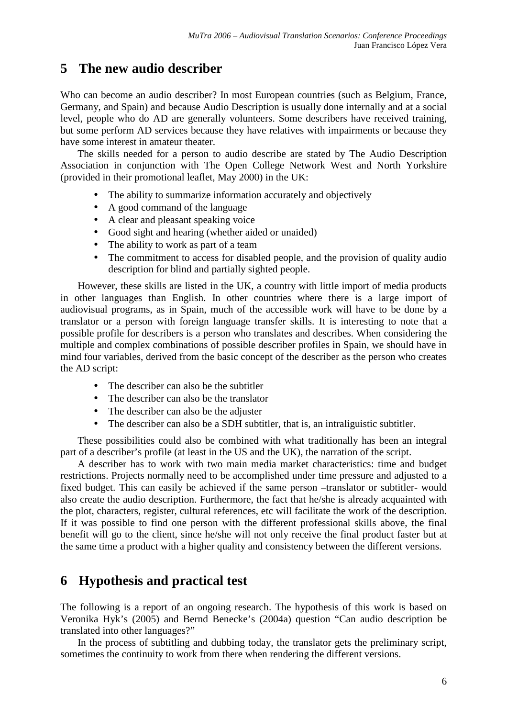# **5 The new audio describer**

Who can become an audio describer? In most European countries (such as Belgium, France, Germany, and Spain) and because Audio Description is usually done internally and at a social level, people who do AD are generally volunteers. Some describers have received training, but some perform AD services because they have relatives with impairments or because they have some interest in amateur theater.

The skills needed for a person to audio describe are stated by The Audio Description Association in conjunction with The Open College Network West and North Yorkshire (provided in their promotional leaflet, May 2000) in the UK:

- The ability to summarize information accurately and objectively
- A good command of the language
- A clear and pleasant speaking voice
- Good sight and hearing (whether aided or unaided)
- The ability to work as part of a team
- The commitment to access for disabled people, and the provision of quality audio description for blind and partially sighted people.

However, these skills are listed in the UK, a country with little import of media products in other languages than English. In other countries where there is a large import of audiovisual programs, as in Spain, much of the accessible work will have to be done by a translator or a person with foreign language transfer skills. It is interesting to note that a possible profile for describers is a person who translates and describes. When considering the multiple and complex combinations of possible describer profiles in Spain, we should have in mind four variables, derived from the basic concept of the describer as the person who creates the AD script:

- The describer can also be the subtitler
- The describer can also be the translator
- The describer can also be the adjuster
- The describer can also be a SDH subtitler, that is, an intraliguistic subtitler.

These possibilities could also be combined with what traditionally has been an integral part of a describer's profile (at least in the US and the UK), the narration of the script.

A describer has to work with two main media market characteristics: time and budget restrictions. Projects normally need to be accomplished under time pressure and adjusted to a fixed budget. This can easily be achieved if the same person –translator or subtitler- would also create the audio description. Furthermore, the fact that he/she is already acquainted with the plot, characters, register, cultural references, etc will facilitate the work of the description. If it was possible to find one person with the different professional skills above, the final benefit will go to the client, since he/she will not only receive the final product faster but at the same time a product with a higher quality and consistency between the different versions.

# **6 Hypothesis and practical test**

The following is a report of an ongoing research. The hypothesis of this work is based on Veronika Hyk's (2005) and Bernd Benecke's (2004a) question "Can audio description be translated into other languages?"

In the process of subtitling and dubbing today, the translator gets the preliminary script, sometimes the continuity to work from there when rendering the different versions.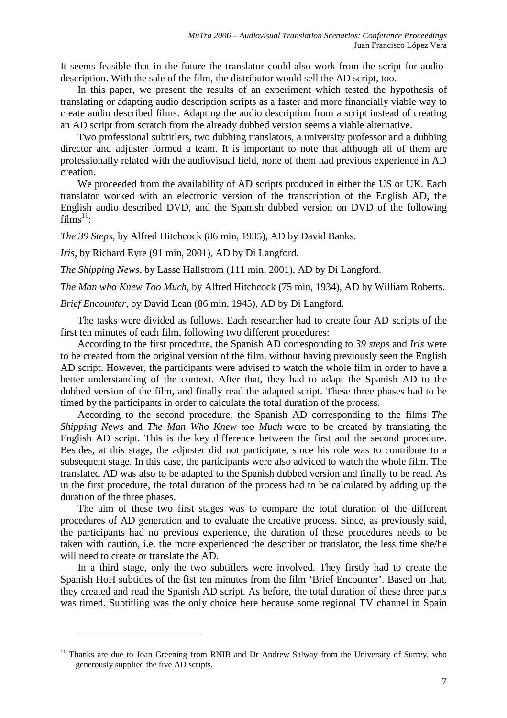It seems feasible that in the future the translator could also work from the script for audiodescription. With the sale of the film, the distributor would sell the AD script, too.

In this paper, we present the results of an experiment which tested the hypothesis of translating or adapting audio description scripts as a faster and more financially viable way to create audio described films. Adapting the audio description from a script instead of creating an AD script from scratch from the already dubbed version seems a viable alternative.

Two professional subtitlers, two dubbing translators, a university professor and a dubbing director and adjuster formed a team. It is important to note that although all of them are professionally related with the audiovisual field, none of them had previous experience in AD creation.

We proceeded from the availability of AD scripts produced in either the US or UK. Each translator worked with an electronic version of the transcription of the English AD, the English audio described DVD, and the Spanish dubbed version on DVD of the following  $\widetilde{\mathrm{films}}^{11}$ :

*The 39 Steps,* by Alfred Hitchcock (86 min, 1935), AD by David Banks.

*Iris*, by Richard Eyre (91 min, 2001), AD by Di Langford.

 $\overline{a}$ 

*The Shipping News*, by Lasse Hallstrom (111 min, 2001), AD by Di Langford.

*The Man who Knew Too Much*, by Alfred Hitchcock (75 min, 1934), AD by William Roberts.

*Brief Encounter,* by David Lean (86 min, 1945), AD by Di Langford.

The tasks were divided as follows. Each researcher had to create four AD scripts of the first ten minutes of each film, following two different procedures:

According to the first procedure, the Spanish AD corresponding to *39 steps* and *Iris* were to be created from the original version of the film, without having previously seen the English AD script. However, the participants were advised to watch the whole film in order to have a better understanding of the context. After that, they had to adapt the Spanish AD to the dubbed version of the film, and finally read the adapted script. These three phases had to be timed by the participants in order to calculate the total duration of the process.

According to the second procedure, the Spanish AD corresponding to the films *The Shipping News* and *The Man Who Knew too Much* were to be created by translating the English AD script. This is the key difference between the first and the second procedure. Besides, at this stage, the adjuster did not participate, since his role was to contribute to a subsequent stage. In this case, the participants were also adviced to watch the whole film. The translated AD was also to be adapted to the Spanish dubbed version and finally to be read. As in the first procedure, the total duration of the process had to be calculated by adding up the duration of the three phases.

The aim of these two first stages was to compare the total duration of the different procedures of AD generation and to evaluate the creative process. Since, as previously said, the participants had no previous experience, the duration of these procedures needs to be taken with caution, i.e. the more experienced the describer or translator, the less time she/he will need to create or translate the AD.

In a third stage, only the two subtitlers were involved. They firstly had to create the Spanish HoH subtitles of the fist ten minutes from the film 'Brief Encounter'. Based on that, they created and read the Spanish AD script. As before, the total duration of these three parts was timed. Subtitling was the only choice here because some regional TV channel in Spain

<sup>&</sup>lt;sup>11</sup> Thanks are due to Joan Greening from RNIB and Dr Andrew Salway from the University of Surrey, who generously supplied the five AD scripts.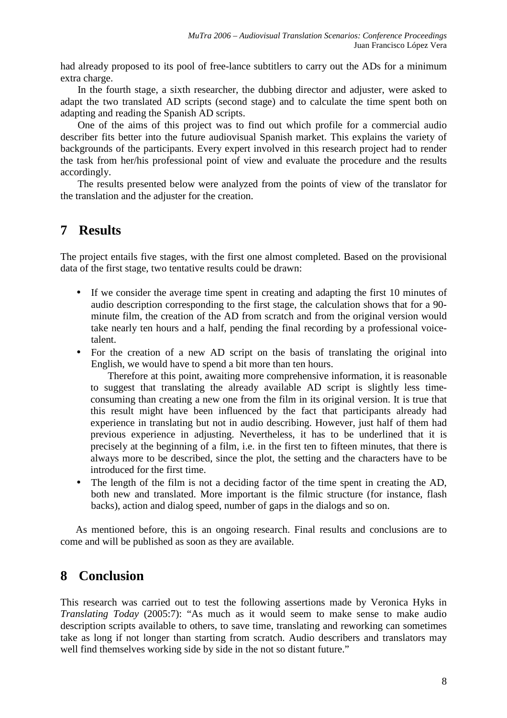had already proposed to its pool of free-lance subtitlers to carry out the ADs for a minimum extra charge.

In the fourth stage, a sixth researcher, the dubbing director and adjuster, were asked to adapt the two translated AD scripts (second stage) and to calculate the time spent both on adapting and reading the Spanish AD scripts.

One of the aims of this project was to find out which profile for a commercial audio describer fits better into the future audiovisual Spanish market. This explains the variety of backgrounds of the participants. Every expert involved in this research project had to render the task from her/his professional point of view and evaluate the procedure and the results accordingly.

The results presented below were analyzed from the points of view of the translator for the translation and the adjuster for the creation.

#### **7 Results**

The project entails five stages, with the first one almost completed. Based on the provisional data of the first stage, two tentative results could be drawn:

- If we consider the average time spent in creating and adapting the first 10 minutes of audio description corresponding to the first stage, the calculation shows that for a 90 minute film, the creation of the AD from scratch and from the original version would take nearly ten hours and a half, pending the final recording by a professional voicetalent.
- For the creation of a new AD script on the basis of translating the original into English, we would have to spend a bit more than ten hours.

Therefore at this point, awaiting more comprehensive information, it is reasonable to suggest that translating the already available AD script is slightly less timeconsuming than creating a new one from the film in its original version. It is true that this result might have been influenced by the fact that participants already had experience in translating but not in audio describing. However, just half of them had previous experience in adjusting. Nevertheless, it has to be underlined that it is precisely at the beginning of a film, i.e. in the first ten to fifteen minutes, that there is always more to be described, since the plot, the setting and the characters have to be introduced for the first time.

• The length of the film is not a deciding factor of the time spent in creating the AD, both new and translated. More important is the filmic structure (for instance, flash backs), action and dialog speed, number of gaps in the dialogs and so on.

As mentioned before, this is an ongoing research. Final results and conclusions are to come and will be published as soon as they are available.

# **8 Conclusion**

This research was carried out to test the following assertions made by Veronica Hyks in *Translating Today* (2005:7): "As much as it would seem to make sense to make audio description scripts available to others, to save time, translating and reworking can sometimes take as long if not longer than starting from scratch. Audio describers and translators may well find themselves working side by side in the not so distant future."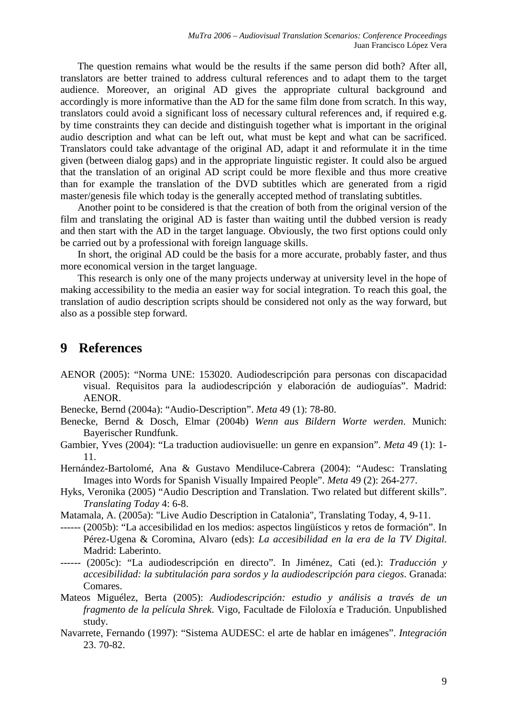The question remains what would be the results if the same person did both? After all, translators are better trained to address cultural references and to adapt them to the target audience. Moreover, an original AD gives the appropriate cultural background and accordingly is more informative than the AD for the same film done from scratch. In this way, translators could avoid a significant loss of necessary cultural references and, if required e.g. by time constraints they can decide and distinguish together what is important in the original audio description and what can be left out, what must be kept and what can be sacrificed. Translators could take advantage of the original AD, adapt it and reformulate it in the time given (between dialog gaps) and in the appropriate linguistic register. It could also be argued that the translation of an original AD script could be more flexible and thus more creative than for example the translation of the DVD subtitles which are generated from a rigid master/genesis file which today is the generally accepted method of translating subtitles.

Another point to be considered is that the creation of both from the original version of the film and translating the original AD is faster than waiting until the dubbed version is ready and then start with the AD in the target language. Obviously, the two first options could only be carried out by a professional with foreign language skills.

In short, the original AD could be the basis for a more accurate, probably faster, and thus more economical version in the target language.

This research is only one of the many projects underway at university level in the hope of making accessibility to the media an easier way for social integration. To reach this goal, the translation of audio description scripts should be considered not only as the way forward, but also as a possible step forward.

#### **9 References**

- AENOR (2005): "Norma UNE: 153020. Audiodescripción para personas con discapacidad visual. Requisitos para la audiodescripción y elaboración de audioguías". Madrid: AENOR.
- Benecke, Bernd (2004a): "Audio-Description". *Meta* 49 (1): 78-80.
- Benecke, Bernd & Dosch, Elmar (2004b) *Wenn aus Bildern Worte werden*. Munich: Bayerischer Rundfunk.
- Gambier, Yves (2004): "La traduction audiovisuelle: un genre en expansion". *Meta* 49 (1): 1- 11.
- Hernández-Bartolomé, Ana & Gustavo Mendiluce-Cabrera (2004): "Audesc: Translating Images into Words for Spanish Visually Impaired People". *Meta* 49 (2): 264-277.
- Hyks, Veronika (2005) "Audio Description and Translation. Two related but different skills". *Translating Today* 4: 6-8.
- Matamala, A. (2005a): "Live Audio Description in Catalonia", Translating Today, 4, 9-11.
- ------ (2005b): "La accesibilidad en los medios: aspectos lingüísticos y retos de formación". In Pérez-Ugena & Coromina, Alvaro (eds): *La accesibilidad en la era de la TV Digital.*  Madrid: Laberinto.
- ------ (2005c): "La audiodescripción en directo". In Jiménez, Cati (ed.): *Traducción y accesibilidad: la subtitulación para sordos y la audiodescripción para ciegos*. Granada: Comares.
- Mateos Miguélez, Berta (2005): *Audiodescripción: estudio y análisis a través de un fragmento de la película Shrek*. Vigo, Facultade de Filoloxía e Tradución. Unpublished study.
- Navarrete, Fernando (1997): "Sistema AUDESC: el arte de hablar en imágenes". *Integración*  23. 70-82.